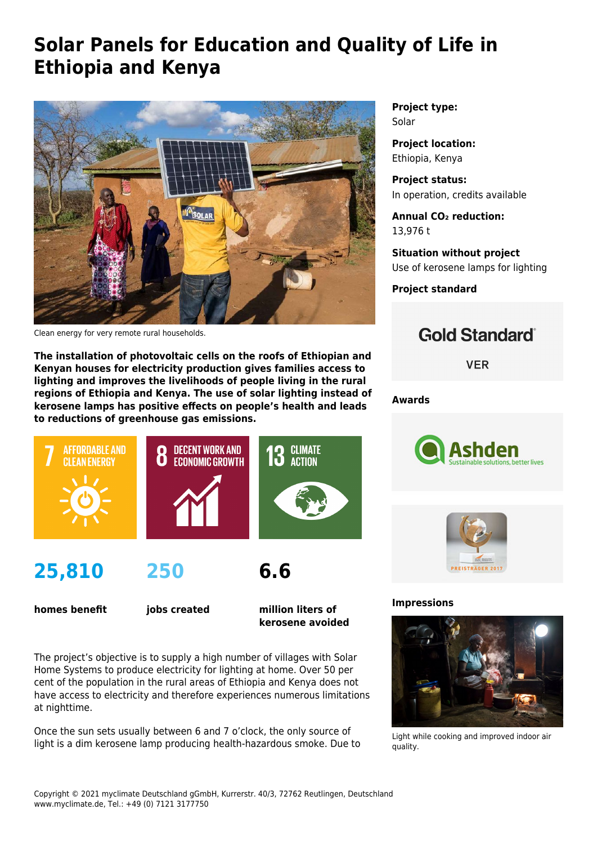## **Solar Panels for Education and Quality of Life in Ethiopia and Kenya**



Clean energy for very remote rural households.

**The installation of photovoltaic cells on the roofs of Ethiopian and Kenyan houses for electricity production gives families access to lighting and improves the livelihoods of people living in the rural regions of Ethiopia and Kenya. The use of solar lighting instead of kerosene lamps has positive effects on people's health and leads to reductions of greenhouse gas emissions.**



**homes benefit**

**jobs created**

**million liters of kerosene avoided**

The project's objective is to supply a high number of villages with Solar Home Systems to produce electricity for lighting at home. Over 50 per cent of the population in the rural areas of Ethiopia and Kenya does not have access to electricity and therefore experiences numerous limitations at nighttime.

Once the sun sets usually between 6 and 7 o'clock, the only source of light is a dim kerosene lamp producing health-hazardous smoke. Due to **Project type:** Solar

**Project location:** Ethiopia, Kenya

**Project status:** In operation, credits available

**Annual CO₂ reduction:** 13,976 t

**Situation without project** Use of kerosene lamps for lighting

**Project standard**

## **Gold Standard**®

**VER** 

**Awards**





## **Impressions**



Light while cooking and improved indoor air quality.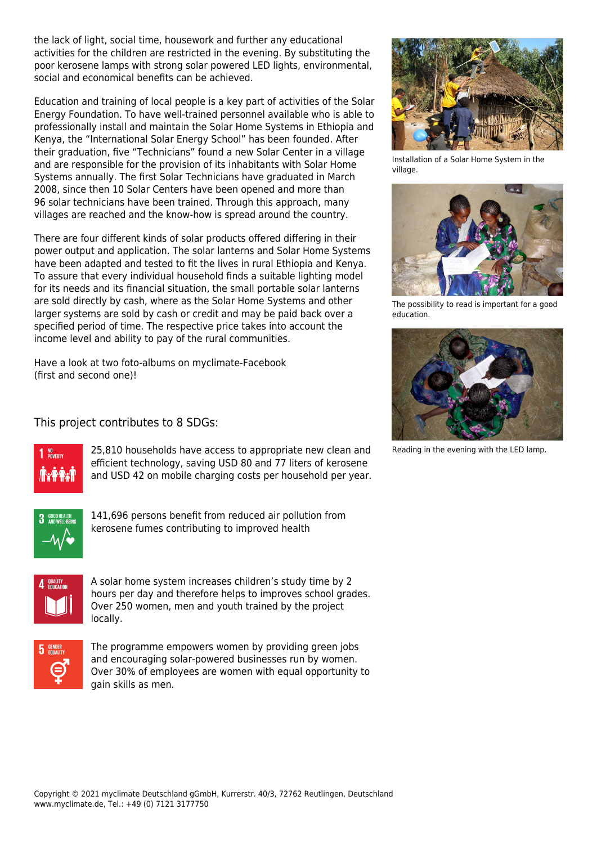the lack of light, social time, housework and further any educational activities for the children are restricted in the evening. By substituting the poor kerosene lamps with strong solar powered LED lights, environmental, social and economical benefits can be achieved.

Education and training of local people is a key part of activities of the [Solar](https://solar-energy-foundation.org/) [Energy Foundation](https://solar-energy-foundation.org/). To have well-trained personnel available who is able to professionally install and maintain the Solar Home Systems in Ethiopia and Kenya, the "International Solar Energy School" has been founded. After their graduation, five "Technicians" found a new Solar Center in a village and are responsible for the provision of its inhabitants with Solar Home Systems annually. The first Solar Technicians have graduated in March 2008, since then 10 Solar Centers have been opened and more than 96 solar technicians have been trained. Through this approach, many villages are reached and the know-how is spread around the country.

There are four different kinds of solar products offered differing in their power output and application. The solar lanterns and Solar Home Systems have been adapted and tested to fit the lives in rural Ethiopia and Kenya. To assure that every individual household finds a suitable lighting model for its needs and its financial situation, the small portable solar lanterns are sold directly by cash, where as the Solar Home Systems and other larger systems are sold by cash or credit and may be paid back over a specified period of time. The respective price takes into account the income level and ability to pay of the rural communities.

Have a look at two foto-albums on myclimate-Facebook ([first](https://www.facebook.com/media/set/?set=a.10151731323705374.855904.341277720373&type=3) and [second](https://www.facebook.com/media/set/?set=a.10150752903245374.722092.341277720373&type=3) one)!

## This project contributes to 8 SDGs:



25,810 households have access to appropriate new clean and efficient technology, saving USD 80 and 77 liters of kerosene and USD 42 on mobile charging costs per household per year.



141,696 persons benefit from reduced air pollution from kerosene fumes contributing to improved health



A solar home system increases children's study time by 2 hours per day and therefore helps to improves school grades. Over 250 women, men and youth trained by the project locally.



The programme empowers women by providing green jobs and encouraging solar-powered businesses run by women. Over 30% of employees are women with equal opportunity to gain skills as men.



Installation of a Solar Home System in the village.



The possibility to read is important for a good education.



Reading in the evening with the LED lamp.